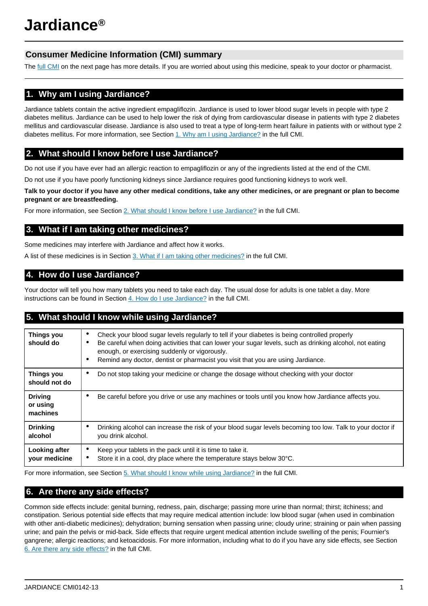# **Consumer Medicine Information (CMI) summary**

The [full CMI](#page-1-0) on the next page has more details. If you are worried about using this medicine, speak to your doctor or pharmacist.

# **1. Why am I using Jardiance?**

Jardiance tablets contain the active ingredient empagliflozin. Jardiance is used to lower blood sugar levels in people with type 2 diabetes mellitus. Jardiance can be used to help lower the risk of dying from cardiovascular disease in patients with type 2 diabetes mellitus and cardiovascular disease. Jardiance is also used to treat a type of long-term heart failure in patients with or without type 2 diabetes mellitus. For more information, see Section [1. Why am I using Jardiance?](#page-1-1) in the full CMI.

# **2. What should I know before I use Jardiance?**

Do not use if you have ever had an allergic reaction to empagliflozin or any of the ingredients listed at the end of the CMI.

Do not use if you have poorly functioning kidneys since Jardiance requires good functioning kidneys to work well.

**Talk to your doctor if you have any other medical conditions, take any other medicines, or are pregnant or plan to become pregnant or are breastfeeding.**

For more information, see Section [2. What should I know before I use Jardiance?](#page-1-2) in the full CMI.

# **3. What if I am taking other medicines?**

Some medicines may interfere with Jardiance and affect how it works.

A list of these medicines is in Section [3. What if I am taking other medicines?](#page-2-0) in the full CMI.

# **4. How do I use Jardiance?**

Your doctor will tell you how many tablets you need to take each day. The usual dose for adults is one tablet a day. More instructions can be found in Section [4. How do I use Jardiance?](#page-2-1) in the full CMI.

# **5. What should I know while using Jardiance?**

| <b>Things you</b><br>should do         | Check your blood sugar levels regularly to tell if your diabetes is being controlled properly<br>$\bullet$<br>Be careful when doing activities that can lower your sugar levels, such as drinking alcohol, not eating<br>٠<br>enough, or exercising suddenly or vigorously.<br>Remind any doctor, dentist or pharmacist you visit that you are using Jardiance.<br>٠ |
|----------------------------------------|----------------------------------------------------------------------------------------------------------------------------------------------------------------------------------------------------------------------------------------------------------------------------------------------------------------------------------------------------------------------|
| <b>Things you</b><br>should not do     | Do not stop taking your medicine or change the dosage without checking with your doctor<br>$\bullet$                                                                                                                                                                                                                                                                 |
| <b>Driving</b><br>or using<br>machines | Be careful before you drive or use any machines or tools until you know how Jardiance affects you.<br>٠                                                                                                                                                                                                                                                              |
| <b>Drinking</b><br>alcohol             | Drinking alcohol can increase the risk of your blood sugar levels becoming too low. Talk to your doctor if<br>٠<br>you drink alcohol.                                                                                                                                                                                                                                |
| Looking after<br>your medicine         | Keep your tablets in the pack until it is time to take it.<br>٠<br>Store it in a cool, dry place where the temperature stays below 30°C.<br>٠                                                                                                                                                                                                                        |

For more information, see Section [5. What should I know while using Jardiance?](#page-2-2) in the full CMI.

# **6. Are there any side effects?**

Common side effects include: genital burning, redness, pain, discharge; passing more urine than normal; thirst; itchiness; and constipation. Serious potential side effects that may require medical attention include: low blood sugar (when used in combination with other anti-diabetic medicines); dehydration; burning sensation when passing urine; cloudy urine; straining or pain when passing urine; and pain the pelvis or mid-back. Side effects that require urgent medical attention include swelling of the penis; Fournier's gangrene; allergic reactions; and ketoacidosis. For more information, including what to do if you have any side effects, see Section [6. Are there any side effects?](#page-3-0) in the full CMI.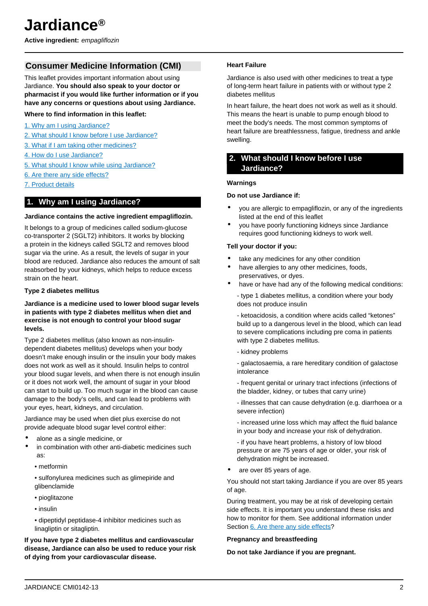# <span id="page-1-0"></span>**Consumer Medicine Information (CMI)**

This leaflet provides important information about using Jardiance. **You should also speak to your doctor or pharmacist if you would like further information or if you have any concerns or questions about using Jardiance.**

### **Where to find information in this leaflet:**

- [1. Why am I using Jardiance?](#page-1-1)
- [2. What should I know before I use Jardiance?](#page-1-2)
- [3. What if I am taking other medicines?](#page-2-0)
- [4. How do I use Jardiance?](#page-2-1)
- [5. What should I know while using Jardiance?](#page-2-2)
- [6. Are there any side effects?](#page-3-0)
- [7. Product details](#page-4-0)

### <span id="page-1-1"></span>**1. Why am I using Jardiance?**

#### **Jardiance contains the active ingredient empagliflozin.**

It belongs to a group of medicines called sodium-glucose co-transporter 2 (SGLT2) inhibitors. It works by blocking a protein in the kidneys called SGLT2 and removes blood sugar via the urine. As a result, the levels of sugar in your blood are reduced. Jardiance also reduces the amount of salt reabsorbed by your kidneys, which helps to reduce excess strain on the heart.

### **Type 2 diabetes mellitus**

### **Jardiance is a medicine used to lower blood sugar levels in patients with type 2 diabetes mellitus when diet and exercise is not enough to control your blood sugar levels.**

Type 2 diabetes mellitus (also known as non-insulindependent diabetes mellitus) develops when your body doesn't make enough insulin or the insulin your body makes does not work as well as it should. Insulin helps to control your blood sugar levels, and when there is not enough insulin or it does not work well, the amount of sugar in your blood can start to build up. Too much sugar in the blood can cause damage to the body's cells, and can lead to problems with your eyes, heart, kidneys, and circulation.

Jardiance may be used when diet plus exercise do not provide adequate blood sugar level control either:

- alone as a single medicine, or
- in combination with other anti-diabetic medicines such as:
	- metformin
	- sulfonylurea medicines such as glimepiride and glibenclamide
	- pioglitazone
	- insulin

• dipeptidyl peptidase-4 inhibitor medicines such as linagliptin or sitagliptin.

**If you have type 2 diabetes mellitus and cardiovascular disease, Jardiance can also be used to reduce your risk of dying from your cardiovascular disease.**

### **Heart Failure**

Jardiance is also used with other medicines to treat a type of long-term heart failure in patients with or without type 2 diabetes mellitus

In heart failure, the heart does not work as well as it should. This means the heart is unable to pump enough blood to meet the body's needs. The most common symptoms of heart failure are breathlessness, fatigue, tiredness and ankle swelling.

## <span id="page-1-2"></span>**2. What should I know before I use Jardiance?**

### **Warnings**

### **Do not use Jardiance if:**

- you are allergic to empagliflozin, or any of the ingredients listed at the end of this leaflet
- you have poorly functioning kidneys since Jardiance requires good functioning kidneys to work well.

### **Tell your doctor if you:**

- take any medicines for any other condition
- have allergies to any other medicines, foods, preservatives, or dyes.
- have or have had any of the following medical conditions:

- type 1 diabetes mellitus, a condition where your body does not produce insulin

- ketoacidosis, a condition where acids called "ketones" build up to a dangerous level in the blood, which can lead to severe complications including pre coma in patients with type 2 diabetes mellitus.

- kidney problems
- galactosaemia, a rare hereditary condition of galactose intolerance
- frequent genital or urinary tract infections (infections of the bladder, kidney, or tubes that carry urine)
- illnesses that can cause dehydration (e.g. diarrhoea or a severe infection)
- increased urine loss which may affect the fluid balance in your body and increase your risk of dehydration.

- if you have heart problems, a history of low blood pressure or are 75 years of age or older, your risk of dehydration might be increased.

are over 85 years of age.

You should not start taking Jardiance if you are over 85 years of age.

During treatment, you may be at risk of developing certain side effects. It is important you understand these risks and how to monitor for them. See additional information under Section [6. Are there any side effects](#page-3-0)?

### **Pregnancy and breastfeeding**

#### **Do not take Jardiance if you are pregnant.**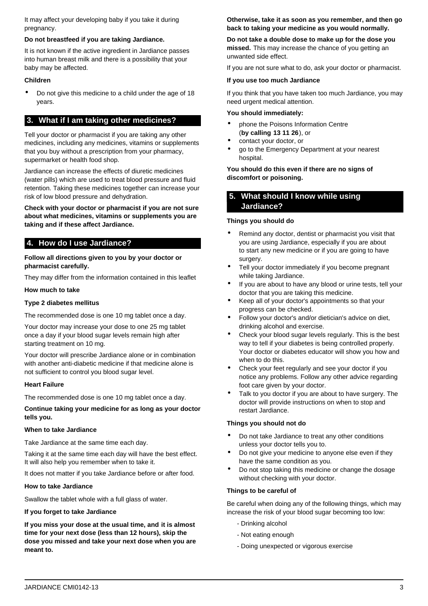It may affect your developing baby if you take it during pregnancy.

### **Do not breastfeed if you are taking Jardiance.**

It is not known if the active ingredient in Jardiance passes into human breast milk and there is a possibility that your baby may be affected.

### **Children**

• Do not give this medicine to a child under the age of 18 years.

### <span id="page-2-0"></span>**3. What if I am taking other medicines?**

Tell your doctor or pharmacist if you are taking any other medicines, including any medicines, vitamins or supplements that you buy without a prescription from your pharmacy, supermarket or health food shop.

Jardiance can increase the effects of diuretic medicines (water pills) which are used to treat blood pressure and fluid retention. Taking these medicines together can increase your risk of low blood pressure and dehydration.

**Check with your doctor or pharmacist if you are not sure about what medicines, vitamins or supplements you are taking and if these affect Jardiance.**

## <span id="page-2-1"></span>**4. How do I use Jardiance?**

**Follow all directions given to you by your doctor or pharmacist carefully.**

They may differ from the information contained in this leaflet

#### **How much to take**

### **Type 2 diabetes mellitus**

The recommended dose is one 10 mg tablet once a day.

Your doctor may increase your dose to one 25 mg tablet once a day if your blood sugar levels remain high after starting treatment on 10 mg.

Your doctor will prescribe Jardiance alone or in combination with another anti-diabetic medicine if that medicine alone is not sufficient to control you blood sugar level.

#### **Heart Failure**

The recommended dose is one 10 mg tablet once a day.

**Continue taking your medicine for as long as your doctor tells you.**

### **When to take Jardiance**

Take Jardiance at the same time each day.

Taking it at the same time each day will have the best effect. It will also help you remember when to take it.

It does not matter if you take Jardiance before or after food.

### **How to take Jardiance**

Swallow the tablet whole with a full glass of water.

### **If you forget to take Jardiance**

**If you miss your dose at the usual time, and it is almost time for your next dose (less than 12 hours), skip the dose you missed and take your next dose when you are meant to.**

**Otherwise, take it as soon as you remember, and then go back to taking your medicine as you would normally.**

**Do not take a double dose to make up for the dose you missed.** This may increase the chance of you getting an unwanted side effect.

If you are not sure what to do, ask your doctor or pharmacist.

### **If you use too much Jardiance**

If you think that you have taken too much Jardiance, you may need urgent medical attention.

#### **You should immediately:**

- phone the Poisons Information Centre (**by calling 13 11 26**), or
- contact your doctor, or
- go to the Emergency Department at your nearest hospital.

**You should do this even if there are no signs of discomfort or poisoning.**

# <span id="page-2-2"></span>**5. What should I know while using Jardiance?**

#### **Things you should do**

- Remind any doctor, dentist or pharmacist you visit that you are using Jardiance, especially if you are about to start any new medicine or if you are going to have surgery.
- Tell your doctor immediately if you become pregnant while taking Jardiance.
- If you are about to have any blood or urine tests, tell your doctor that you are taking this medicine.
- Keep all of your doctor's appointments so that your progress can be checked.
- Follow your doctor's and/or dietician's advice on diet, drinking alcohol and exercise.
- Check your blood sugar levels regularly. This is the best way to tell if your diabetes is being controlled properly. Your doctor or diabetes educator will show you how and when to do this.
- Check your feet regularly and see your doctor if you notice any problems. Follow any other advice regarding foot care given by your doctor.
- Talk to you doctor if you are about to have surgery. The doctor will provide instructions on when to stop and restart Jardiance.

#### **Things you should not do**

- Do not take Jardiance to treat any other conditions unless your doctor tells you to.
- Do not give your medicine to anyone else even if they have the same condition as you.
- Do not stop taking this medicine or change the dosage without checking with your doctor.

#### **Things to be careful of**

Be careful when doing any of the following things, which may increase the risk of your blood sugar becoming too low:

- Drinking alcohol
- Not eating enough
- Doing unexpected or vigorous exercise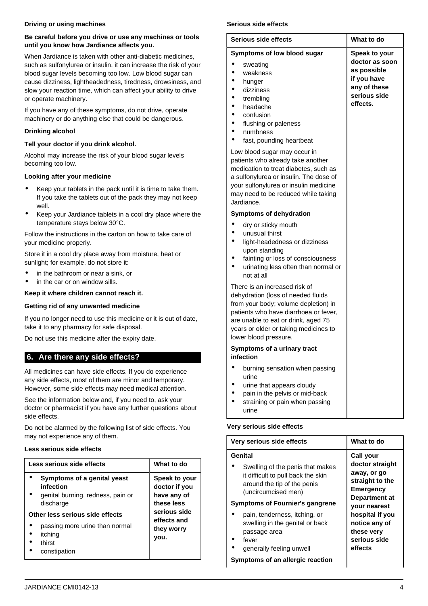### **Driving or using machines**

### **Be careful before you drive or use any machines or tools until you know how Jardiance affects you.**

When Jardiance is taken with other anti-diabetic medicines, such as sulfonylurea or insulin, it can increase the risk of your blood sugar levels becoming too low. Low blood sugar can cause dizziness, lightheadedness, tiredness, drowsiness, and slow your reaction time, which can affect your ability to drive or operate machinery.

If you have any of these symptoms, do not drive, operate machinery or do anything else that could be dangerous.

## **Drinking alcohol**

## **Tell your doctor if you drink alcohol.**

Alcohol may increase the risk of your blood sugar levels becoming too low.

## **Looking after your medicine**

- Keep your tablets in the pack until it is time to take them. If you take the tablets out of the pack they may not keep well.
- Keep your Jardiance tablets in a cool dry place where the temperature stays below 30°C.

Follow the instructions in the carton on how to take care of your medicine properly.

Store it in a cool dry place away from moisture, heat or sunlight; for example, do not store it:

- in the bathroom or near a sink, or
- in the car or on window sills.

## **Keep it where children cannot reach it.**

## **Getting rid of any unwanted medicine**

If you no longer need to use this medicine or it is out of date, take it to any pharmacy for safe disposal.

Do not use this medicine after the expiry date.

# <span id="page-3-0"></span>**6. Are there any side effects?**

All medicines can have side effects. If you do experience any side effects, most of them are minor and temporary. However, some side effects may need medical attention.

See the information below and, if you need to, ask your doctor or pharmacist if you have any further questions about side effects.

Do not be alarmed by the following list of side effects. You may not experience any of them.

### **Less serious side effects**

| Less serious side effects                                                                                                                                                                            | What to do                                                                                                       |
|------------------------------------------------------------------------------------------------------------------------------------------------------------------------------------------------------|------------------------------------------------------------------------------------------------------------------|
| Symptoms of a genital yeast<br>infection<br>genital burning, redness, pain or<br>discharge<br>Other less serious side effects<br>passing more urine than normal<br>itching<br>thirst<br>constipation | Speak to your<br>doctor if you<br>have any of<br>these less<br>serious side<br>effects and<br>they worry<br>you. |

## **Serious side effects**

| Serious side effects                                                                                                                                                                                                                                                                 | What to do                                                                                                       |
|--------------------------------------------------------------------------------------------------------------------------------------------------------------------------------------------------------------------------------------------------------------------------------------|------------------------------------------------------------------------------------------------------------------|
| Symptoms of low blood sugar<br>sweating<br>weakness<br>hunger<br>dizziness<br>trembling<br>headache<br>confusion<br>flushing or paleness<br>numbness<br>fast, pounding heartbeat                                                                                                     | <b>Speak to your</b><br>doctor as soon<br>as possible<br>if you have<br>any of these<br>serious side<br>effects. |
| Low blood sugar may occur in<br>patients who already take another<br>medication to treat diabetes, such as<br>a sulfonylurea or insulin. The dose of<br>your sulfonylurea or insulin medicine<br>may need to be reduced while taking<br>Jardiance.<br><b>Symptoms of dehydration</b> |                                                                                                                  |
| dry or sticky mouth<br>unusual thirst<br>light-headedness or dizziness<br>upon standing<br>fainting or loss of consciousness<br>urinating less often than normal or<br>not at all                                                                                                    |                                                                                                                  |
| There is an increased risk of<br>dehydration (loss of needed fluids<br>from your body; volume depletion) in<br>patients who have diarrhoea or fever,<br>are unable to eat or drink, aged 75<br>years or older or taking medicines to<br>lower blood pressure.                        |                                                                                                                  |
| Symptoms of a urinary tract<br>infection                                                                                                                                                                                                                                             |                                                                                                                  |
| burning sensation when passing<br>urine<br>urine that appears cloudy<br>pain in the pelvis or mid-back<br>straining or pain when passing<br>urine                                                                                                                                    |                                                                                                                  |

### **Very serious side effects**

| Very serious side effects                                                                                                                                       | What to do                                                                                                               |
|-----------------------------------------------------------------------------------------------------------------------------------------------------------------|--------------------------------------------------------------------------------------------------------------------------|
| Genital<br>Swelling of the penis that makes<br>it difficult to pull back the skin<br>around the tip of the penis<br>(uncircumcised men)                         | Call your<br>doctor straight<br>away, or go<br>straight to the<br><b>Emergency</b>                                       |
| <b>Symptoms of Fournier's gangrene</b><br>pain, tenderness, itching, or<br>swelling in the genital or back<br>passage area<br>fever<br>generally feeling unwell | <b>Department at</b><br><b>vour nearest</b><br>hospital if you<br>notice any of<br>these very<br>serious side<br>effects |

**Symptoms of an allergic reaction**